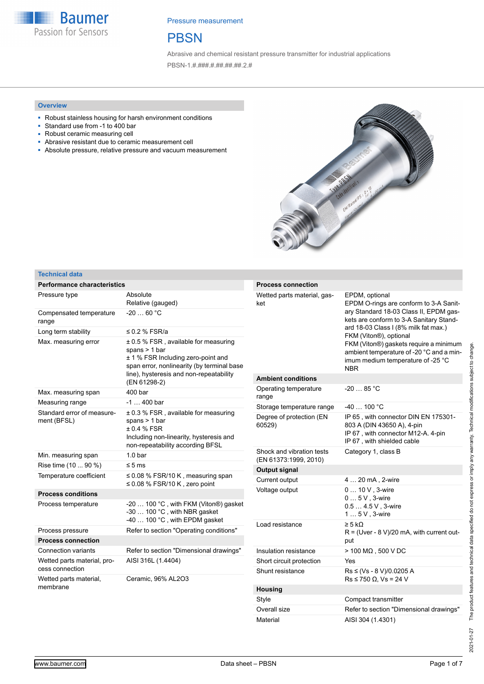**Baumer** Passion for Sensors

Pressure measurement

### **PBSN**

Abrasive and chemical resistant pressure transmitter for industrial applications PBSN-1.#.###.#.##.##.##.2.#

#### **Overview**

- Robust stainless housing for harsh environment conditions
- Standard use from -1 to 400 bar
- Robust ceramic measuring cell
- Abrasive resistant due to ceramic measurement cell ■ Absolute pressure, relative pressure and vacuum measurement



#### **Technical data**

| <b>Performance characteristics</b>        |                                                                                                                                             | <b>Process connection</b>          |                                                                                                                                        |
|-------------------------------------------|---------------------------------------------------------------------------------------------------------------------------------------------|------------------------------------|----------------------------------------------------------------------------------------------------------------------------------------|
| Pressure type                             | Absolute<br>Relative (gauged)                                                                                                               | Wetted parts material, gas-<br>ket | EPDM, optional<br>EPDM O-rings are conform to 3-A Sanit-<br>ary Standard 18-03 Class II, EPDM gas-                                     |
| Compensated temperature<br>range          | $-2060 °C$                                                                                                                                  |                                    | kets are conform to 3-A Sanitary Stand-                                                                                                |
| Long term stability                       | $\leq$ 0.2 % FSR/a                                                                                                                          |                                    | ard 18-03 Class I (8% milk fat max.)<br>FKM (Viton®), optional                                                                         |
| Max. measuring error                      | ± 0.5 % FSR, available for measuring<br>spans $> 1$ bar<br>± 1 % FSR Including zero-point and<br>span error, nonlinearity (by terminal base |                                    | FKM (Viton®) gaskets require a minimum<br>ambient temperature of -20 °C and a min-<br>imum medium temperature of -25 °C<br><b>NBR</b>  |
|                                           | line), hysteresis and non-repeatability<br>(EN 61298-2)                                                                                     | <b>Ambient conditions</b>          |                                                                                                                                        |
| Max. measuring span                       | 400 bar                                                                                                                                     | Operating temperature<br>range     | $-2085 °C$                                                                                                                             |
| Measuring range                           | $-1400$ bar                                                                                                                                 | Storage temperature range          | $-40100 °C$                                                                                                                            |
| Standard error of measure-<br>ment (BFSL) | ± 0.3 % FSR, available for measuring<br>spans $> 1$ bar<br>$±0.4%$ FSR<br>Including non-linearity, hysteresis and                           | Degree of protection (EN<br>60529) | IP 65, with connector DIN EN 175301-<br>803 A (DIN 43650 A), 4-pin<br>IP 67, with connector M12-A. 4-pin<br>IP 67, with shielded cable |
| Min. measuring span                       | non-repeatability according BFSL<br>1.0 <sub>bar</sub>                                                                                      | Shock and vibration tests          | Category 1, class B                                                                                                                    |
| Rise time (10  90 %)                      | $\leq 5$ ms                                                                                                                                 | (EN 61373:1999, 2010)              |                                                                                                                                        |
| Temperature coefficient                   | $\leq$ 0.08 % FSR/10 K, measuring span                                                                                                      | Output signal                      |                                                                                                                                        |
|                                           | $\leq$ 0.08 % FSR/10 K, zero point                                                                                                          | Current output                     | 4  20 mA, 2-wire                                                                                                                       |
| <b>Process conditions</b>                 |                                                                                                                                             | Voltage output                     | 0  10 V, 3-wire<br>$05V.3-wire$                                                                                                        |
| Process temperature                       | -20  100 °C, with FKM (Viton®) gasket<br>$-30$ 100 °C, with NBR gasket                                                                      |                                    | $0.54.5V$ , 3-wire<br>$15V$ , 3-wire                                                                                                   |
| Process pressure                          | -40  100 °C, with EPDM gasket<br>Refer to section "Operating conditions"                                                                    | Load resistance                    | $\geq 5$ k $\Omega$                                                                                                                    |
| <b>Process connection</b>                 |                                                                                                                                             |                                    | $R = (Uver - 8 V)/20$ mA, with current out-<br>put                                                                                     |
| <b>Connection variants</b>                | Refer to section "Dimensional drawings"                                                                                                     | Insulation resistance              | $>$ 100 M $\Omega$ , 500 V DC                                                                                                          |
| Wetted parts material, pro-               | AISI 316L (1.4404)                                                                                                                          | Short circuit protection           | Yes                                                                                                                                    |
| cess connection<br>Wetted parts material, | Ceramic, 96% AL2O3                                                                                                                          | Shunt resistance                   | Rs ≤ (Vs - 8 V)/0.0205 A<br>$Rs \le 750 \Omega$ , Vs = 24 V                                                                            |
| membrane                                  |                                                                                                                                             | <b>Housing</b>                     |                                                                                                                                        |
|                                           |                                                                                                                                             | Style                              | Compact transmitter                                                                                                                    |
|                                           |                                                                                                                                             | Overall size                       | Refer to section "Dimensional drawings"                                                                                                |

Material AISI 304 (1.4301)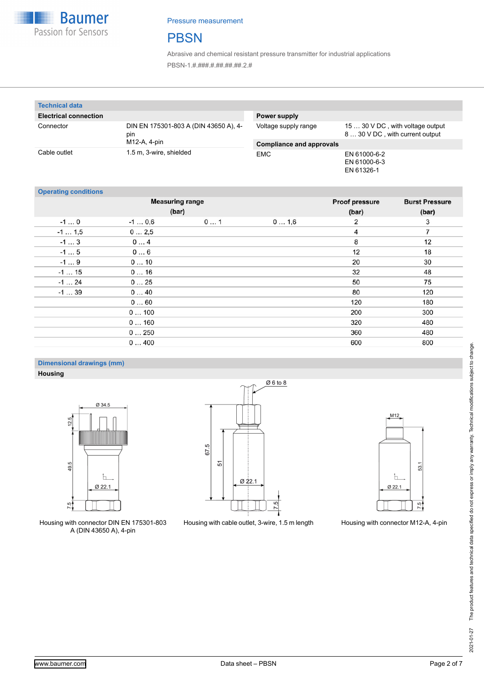

## **PBSN**

Abrasive and chemical resistant pressure transmitter for industrial applications PBSN-1.#.###.#.##.##.##.2.#

| <b>Technical data</b>        |                                              |                                 |                                                                     |
|------------------------------|----------------------------------------------|---------------------------------|---------------------------------------------------------------------|
| <b>Electrical connection</b> |                                              | Power supply                    |                                                                     |
| Connector                    | DIN EN 175301-803 A (DIN 43650 A), 4-<br>pin | Voltage supply range            | 15  30 V DC, with voltage output<br>8  30 V DC, with current output |
|                              | M12-A, 4-pin                                 | <b>Compliance and approvals</b> |                                                                     |
| Cable outlet                 | 1.5 m, 3-wire, shielded                      | <b>EMC</b>                      | EN 61000-6-2<br>EN 61000-6-3<br>EN 61326-1                          |

#### **Operating conditions**

| <b>Operating conditions</b> | <b>Measuring range</b> |    |      | <b>Proof pressure</b> | <b>Burst Pressure</b> |
|-----------------------------|------------------------|----|------|-----------------------|-----------------------|
|                             | (bar)                  |    |      | (bar)                 | (bar)                 |
| $-10$                       | $-10.6$                | 01 | 01,6 | 2                     | 3                     |
| $-1$ 1,5                    | 02,5                   |    |      | 4                     | 7                     |
| $-13$                       | 04                     |    |      | 8                     | 12                    |
| $-15$                       | 06                     |    |      | 12                    | 18                    |
| $-19$                       | 010                    |    |      | 20                    | 30                    |
| $-115$                      | 016                    |    |      | 32                    | 48                    |
| $-124$                      | 025                    |    |      | 50                    | 75                    |
| $-139$                      | 040                    |    |      | 80                    | 120                   |
|                             | 060                    |    |      | 120                   | 180                   |
|                             | 0100                   |    |      | 200                   | 300                   |
|                             | 0160                   |    |      | 320                   | 480                   |
|                             | 0250                   |    |      | 360                   | 480                   |
|                             | 0400                   |    |      | 600                   | 800                   |

### **Dimensional drawings (mm) Housing**



Housing with connector DIN EN 175301-803 A (DIN 43650 A), 4-pin



Housing with cable outlet, 3-wire, 1.5 m length Housing with connector M12-A, 4-pin

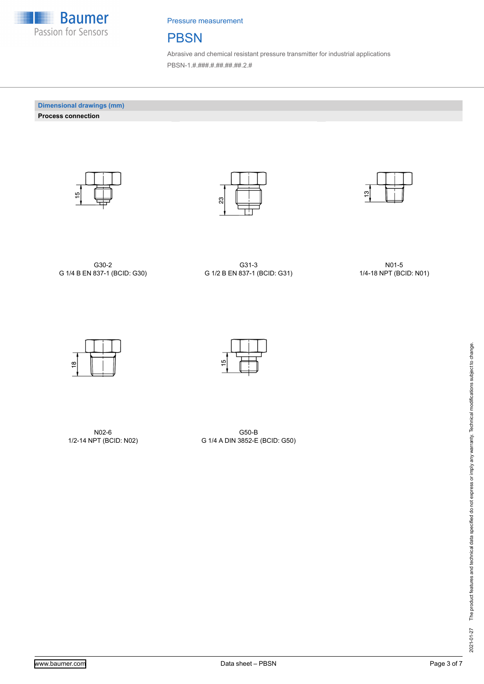

### **PBSN**

Abrasive and chemical resistant pressure transmitter for industrial applications PBSN-1.#.###.#.##.##.##.2.#

**Dimensional drawings (mm) Process connection**







G30-2 G 1/4 B EN 837-1 (BCID: G30)

G31-3 G 1/2 B EN 837-1 (BCID: G31)

N01-5 1/4-18 NPT (BCID: N01)



N02-6 1/2-14 NPT (BCID: N02)



G50-B G 1/4 A DIN 3852-E (BCID: G50)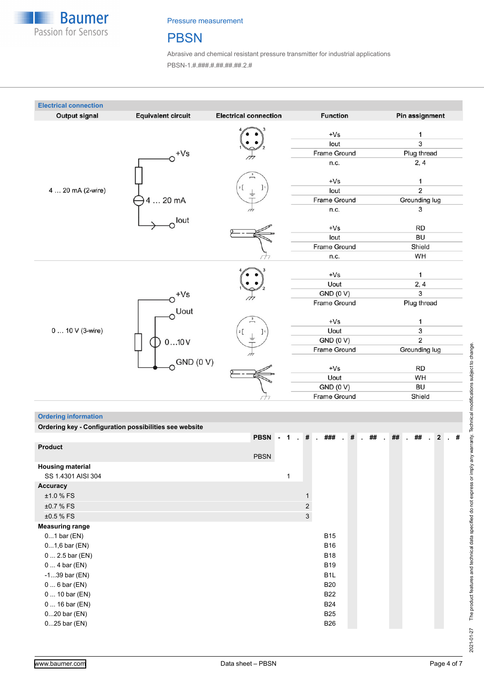

### **PBSN**

Abrasive and chemical resistant pressure transmitter for industrial applications PBSN-1.#.###.#.##.##.##.2.#



#### **Ordering information**

| Ordering key - Configuration possibilities see website |             |              |                |                  |           |        |              |        |    |           |      |
|--------------------------------------------------------|-------------|--------------|----------------|------------------|-----------|--------|--------------|--------|----|-----------|------|
|                                                        | PBSN - 1    |              |                | . # . ###        | $\cdot$ # | $.$ ## | $\mathbf{r}$ | $\#$ # | ## | $\cdot$ 2 | .  # |
| <b>Product</b>                                         |             |              |                |                  |           |        |              |        |    |           |      |
|                                                        | <b>PBSN</b> |              |                |                  |           |        |              |        |    |           |      |
| <b>Housing material</b>                                |             |              |                |                  |           |        |              |        |    |           |      |
| SS 1.4301 AISI 304                                     |             | $\mathbf{1}$ |                |                  |           |        |              |        |    |           |      |
| Accuracy                                               |             |              |                |                  |           |        |              |        |    |           |      |
| ±1.0 % FS                                              |             |              |                |                  |           |        |              |        |    |           |      |
| ±0.7 % FS                                              |             |              | $\overline{2}$ |                  |           |        |              |        |    |           |      |
| ±0.5 % FS                                              |             |              | $\mathbf{3}$   |                  |           |        |              |        |    |           |      |
| <b>Measuring range</b>                                 |             |              |                |                  |           |        |              |        |    |           |      |
| $01$ bar $(EN)$                                        |             |              |                | <b>B15</b>       |           |        |              |        |    |           |      |
| $01,6$ bar (EN)                                        |             |              |                | <b>B16</b>       |           |        |              |        |    |           |      |
| $0 2.5$ bar (EN)                                       |             |              |                | <b>B18</b>       |           |        |              |        |    |           |      |
| $04$ bar (EN)                                          |             |              |                | <b>B19</b>       |           |        |              |        |    |           |      |
| $-139$ bar (EN)                                        |             |              |                | B <sub>1</sub> L |           |        |              |        |    |           |      |
| $06$ bar (EN)                                          |             |              |                | <b>B20</b>       |           |        |              |        |    |           |      |
| 0  10 bar (EN)                                         |             |              |                | <b>B22</b>       |           |        |              |        |    |           |      |
| $016$ bar (EN)                                         |             |              |                | <b>B24</b>       |           |        |              |        |    |           |      |
| $020$ bar $(EN)$                                       |             |              |                | <b>B25</b>       |           |        |              |        |    |           |      |
| $025$ bar (EN)                                         |             |              |                | <b>B26</b>       |           |        |              |        |    |           |      |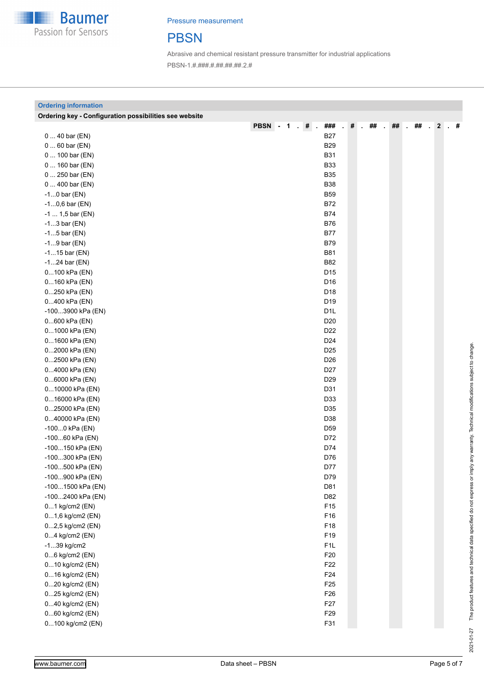

# **PBSN**

Abrasive and chemical resistant pressure transmitter for industrial applications PBSN-1.#.###.#.##.##.##.2.#

| <b>Ordering information</b>                            |                                             |   |    |    |    |                |    |
|--------------------------------------------------------|---------------------------------------------|---|----|----|----|----------------|----|
| Ordering key - Configuration possibilities see website |                                             |   |    |    |    |                |    |
|                                                        | <b>PBSN - 1</b><br>###<br>$\cdot$ # $\cdot$ | # | ## | ## | ## | $\overline{2}$ | -# |
| $040$ bar (EN)                                         | <b>B27</b>                                  |   |    |    |    |                |    |
| $060$ bar (EN)                                         | <b>B29</b>                                  |   |    |    |    |                |    |
| 0  100 bar (EN)                                        | <b>B31</b>                                  |   |    |    |    |                |    |
| 0  160 bar (EN)                                        | <b>B33</b>                                  |   |    |    |    |                |    |
| 0  250 bar (EN)                                        | <b>B35</b>                                  |   |    |    |    |                |    |
| $0400$ bar (EN)                                        | <b>B38</b>                                  |   |    |    |    |                |    |
| $-10$ bar (EN)                                         | <b>B59</b>                                  |   |    |    |    |                |    |
| $-10,6$ bar (EN)                                       | <b>B72</b>                                  |   |    |    |    |                |    |
| $-1 1,5$ bar (EN)                                      | <b>B74</b>                                  |   |    |    |    |                |    |
| $-13$ bar (EN)                                         | <b>B76</b>                                  |   |    |    |    |                |    |
| $-15$ bar (EN)                                         | <b>B77</b>                                  |   |    |    |    |                |    |
| $-19$ bar (EN)                                         | <b>B79</b>                                  |   |    |    |    |                |    |
| $-115$ bar (EN)                                        | <b>B81</b>                                  |   |    |    |    |                |    |
| $-124$ bar (EN)                                        | <b>B82</b>                                  |   |    |    |    |                |    |
| 0100 kPa (EN)                                          | D <sub>15</sub>                             |   |    |    |    |                |    |
| 0160 kPa (EN)                                          | D16                                         |   |    |    |    |                |    |
| 0250 kPa (EN)                                          | D18                                         |   |    |    |    |                |    |
| 0400 kPa (EN)                                          | D19                                         |   |    |    |    |                |    |
| -1003900 kPa (EN)                                      | D <sub>1</sub> L                            |   |    |    |    |                |    |
| 0600 kPa (EN)                                          | D <sub>20</sub>                             |   |    |    |    |                |    |
| 01000 kPa (EN)                                         | D <sub>22</sub>                             |   |    |    |    |                |    |
| 01600 kPa (EN)                                         | D <sub>24</sub>                             |   |    |    |    |                |    |
| 02000 kPa (EN)                                         | D <sub>25</sub>                             |   |    |    |    |                |    |
| 02500 kPa (EN)                                         | D26                                         |   |    |    |    |                |    |
| 04000 kPa (EN)                                         | D <sub>27</sub>                             |   |    |    |    |                |    |
| 06000 kPa (EN)                                         | D <sub>29</sub>                             |   |    |    |    |                |    |
| 010000 kPa (EN)                                        | D31                                         |   |    |    |    |                |    |
| 016000 kPa (EN)                                        | D33                                         |   |    |    |    |                |    |
| 025000 kPa (EN)                                        | D35                                         |   |    |    |    |                |    |
| 040000 kPa (EN)                                        | D38                                         |   |    |    |    |                |    |
| -1000 kPa (EN)                                         | D59                                         |   |    |    |    |                |    |
| -10060 kPa (EN)                                        | D72                                         |   |    |    |    |                |    |
| -100150 kPa (EN)                                       | D74                                         |   |    |    |    |                |    |
| -100300 kPa (EN)                                       | D76                                         |   |    |    |    |                |    |
| -100500 kPa (EN)                                       | D77                                         |   |    |    |    |                |    |
| -100900 kPa (EN)                                       | D79                                         |   |    |    |    |                |    |
| -1001500 kPa (EN)                                      | D81                                         |   |    |    |    |                |    |
| -1002400 kPa (EN)                                      | D82                                         |   |    |    |    |                |    |
| 01 kg/cm2 (EN)                                         | F15                                         |   |    |    |    |                |    |
| 01,6 kg/cm2 (EN)                                       | F16                                         |   |    |    |    |                |    |
| 02,5 kg/cm2 (EN)                                       | F18                                         |   |    |    |    |                |    |
| 04 kg/cm2 (EN)                                         | F19                                         |   |    |    |    |                |    |
| $-139$ kg/cm2                                          | F1L                                         |   |    |    |    |                |    |
| 06 kg/cm2 (EN)                                         | F20                                         |   |    |    |    |                |    |
| 010 kg/cm2 (EN)                                        | F22                                         |   |    |    |    |                |    |
| 016 kg/cm2 (EN)                                        | F24                                         |   |    |    |    |                |    |
| 020 kg/cm2 (EN)                                        | F <sub>25</sub>                             |   |    |    |    |                |    |
| 025 kg/cm2 (EN)                                        | F26                                         |   |    |    |    |                |    |
| 040 kg/cm2 (EN)                                        | F27                                         |   |    |    |    |                |    |
| 060 kg/cm2 (EN)                                        | F29                                         |   |    |    |    |                |    |
| 0100 kg/cm2 (EN)                                       | F31                                         |   |    |    |    |                |    |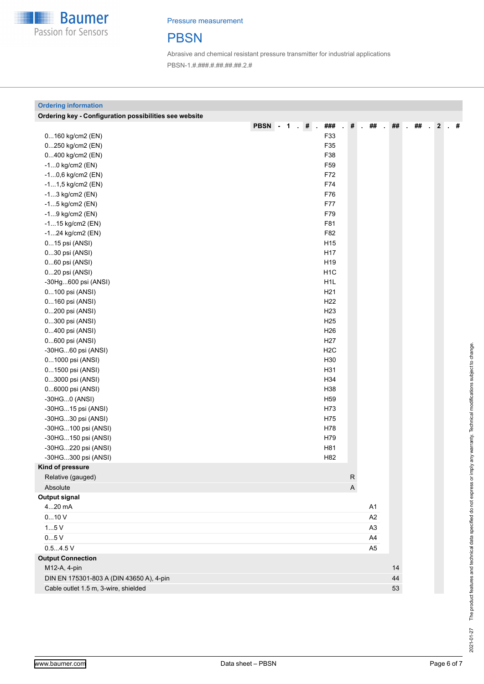

# **PBSN**

Abrasive and chemical resistant pressure transmitter for industrial applications PBSN-1.#.###.#.##.##.##.2.#

| <b>Ordering information</b>                            |                       |             |                                     |        |    |                  |
|--------------------------------------------------------|-----------------------|-------------|-------------------------------------|--------|----|------------------|
| Ordering key - Configuration possibilities see website |                       |             |                                     |        |    |                  |
|                                                        | PBSN - 1 . # .<br>### | $\#$        | ##<br>$\mathcal{L}$<br>$\mathbf{r}$ | $\#$ # | ## | $\cdot$ 2<br>. # |
| 0160 kg/cm2 (EN)                                       | F33                   |             |                                     |        |    |                  |
| 0250 kg/cm2 (EN)                                       | F35                   |             |                                     |        |    |                  |
| 0400 kg/cm2 (EN)                                       | F38                   |             |                                     |        |    |                  |
| $-10$ kg/cm2 (EN)                                      | F59                   |             |                                     |        |    |                  |
| $-10,6$ kg/cm2 (EN)                                    | F72                   |             |                                     |        |    |                  |
| $-11,5$ kg/cm2 (EN)                                    | F74                   |             |                                     |        |    |                  |
| $-13$ kg/cm2 (EN)                                      | F76                   |             |                                     |        |    |                  |
| $-15$ kg/cm2 (EN)                                      | F77                   |             |                                     |        |    |                  |
| $-19$ kg/cm2 (EN)                                      | F79                   |             |                                     |        |    |                  |
| $-115$ kg/cm2 (EN)                                     | F81                   |             |                                     |        |    |                  |
| $-124$ kg/cm2 (EN)                                     | F82                   |             |                                     |        |    |                  |
| 015 psi (ANSI)                                         | H <sub>15</sub>       |             |                                     |        |    |                  |
| 030 psi (ANSI)                                         | H <sub>17</sub>       |             |                                     |        |    |                  |
| 060 psi (ANSI)                                         | H19                   |             |                                     |        |    |                  |
| 020 psi (ANSI)                                         | H <sub>1</sub> C      |             |                                     |        |    |                  |
| -30Hg600 psi (ANSI)                                    | H <sub>1</sub>        |             |                                     |        |    |                  |
| 0100 psi (ANSI)                                        | H <sub>21</sub>       |             |                                     |        |    |                  |
| 0160 psi (ANSI)                                        | H <sub>22</sub>       |             |                                     |        |    |                  |
| 0200 psi (ANSI)                                        | H <sub>23</sub>       |             |                                     |        |    |                  |
| 0300 psi (ANSI)                                        | H <sub>25</sub>       |             |                                     |        |    |                  |
| 0400 psi (ANSI)                                        | H <sub>26</sub>       |             |                                     |        |    |                  |
| 0600 psi (ANSI)                                        | H <sub>27</sub>       |             |                                     |        |    |                  |
| -30HG60 psi (ANSI)                                     | H <sub>2</sub> C      |             |                                     |        |    |                  |
| 01000 psi (ANSI)                                       | H30                   |             |                                     |        |    |                  |
| 01500 psi (ANSI)                                       | H31                   |             |                                     |        |    |                  |
| 03000 psi (ANSI)                                       | H34                   |             |                                     |        |    |                  |
| 06000 psi (ANSI)                                       | H38                   |             |                                     |        |    |                  |
| -30HG0 (ANSI)                                          | H <sub>59</sub>       |             |                                     |        |    |                  |
| -30HG15 psi (ANSI)                                     | H73                   |             |                                     |        |    |                  |
| -30HG30 psi (ANSI)                                     | H75                   |             |                                     |        |    |                  |
| -30HG100 psi (ANSI)                                    | H78                   |             |                                     |        |    |                  |
| -30HG150 psi (ANSI)                                    | H79                   |             |                                     |        |    |                  |
| -30HG220 psi (ANSI)                                    | H81                   |             |                                     |        |    |                  |
| -30HG300 psi (ANSI)                                    | H82                   |             |                                     |        |    |                  |
| Kind of pressure                                       |                       |             |                                     |        |    |                  |
| Relative (gauged)                                      |                       | ${\sf R}$   |                                     |        |    |                  |
| Absolute                                               |                       | $\mathsf A$ |                                     |        |    |                  |
| <b>Output signal</b>                                   |                       |             |                                     |        |    |                  |
| 420 mA                                                 |                       |             | A1                                  |        |    |                  |
| 010V                                                   |                       |             | A2                                  |        |    |                  |
| 15V                                                    |                       |             | A <sub>3</sub>                      |        |    |                  |
| 05V                                                    |                       |             | A4                                  |        |    |                  |
| 0.54.5 V                                               |                       |             | A <sub>5</sub>                      |        |    |                  |
| <b>Output Connection</b>                               |                       |             |                                     |        |    |                  |
| M12-A, 4-pin                                           |                       |             |                                     | 14     |    |                  |
| DIN EN 175301-803 A (DIN 43650 A), 4-pin               |                       |             |                                     | 44     |    |                  |
| Cable outlet 1.5 m, 3-wire, shielded                   |                       |             |                                     | 53     |    |                  |